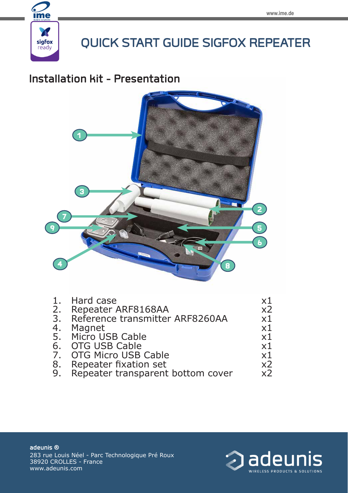

# **QUICK START GUIDE SIGFOX REPEATER**

## **Installation kit - Presentation**



| 1. | Hard case                         | х1             |
|----|-----------------------------------|----------------|
| 2. | Repeater ARF8168AA                | x <sub>2</sub> |
| 3. | Reference transmitter ARF8260AA   | х1             |
| 4. | Magnet                            | х1             |
|    | 5. Micro USB Cable                | x1             |
|    | 6. OTG USB Cable                  | x1             |
|    | 7. OTG Micro USB Cable            | x1             |
| 8. | Repeater fixation set             | x2             |
| 9. | Repeater transparent bottom cover | x2             |



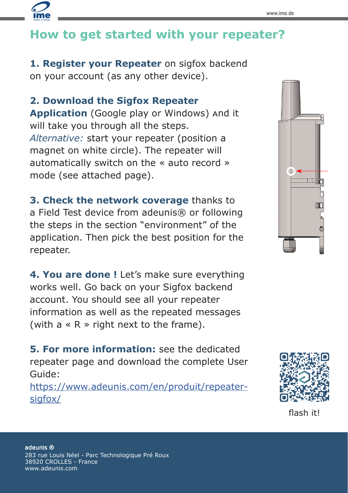# **How to get started with your repeater?**

**1. Register your Repeater** on sigfox backend on your account (as any other device).

### **2. Download the Sigfox Repeater**

**Application** (Google play or Windows) and it will take you through all the steps. *Alternative:* start your repeater (position a magnet on white circle). The repeater will automatically switch on the « auto record » mode (see attached page).

**3. Check the network coverage** thanks to a Field Test device from adeunis® or following the steps in the section "environment" of the application. Then pick the best position for the repeater.

**4. You are done !** Let's make sure everything works well. Go back on your Sigfox backend account. You should see all your repeater information as well as the repeated messages (with  $a \ll R \gg$  right next to the frame).

**5. For more information:** see the dedicated repeater page and download the complete User Guide:

https://www.adeunis.com/en/produit/repeatersigfox/





flash it!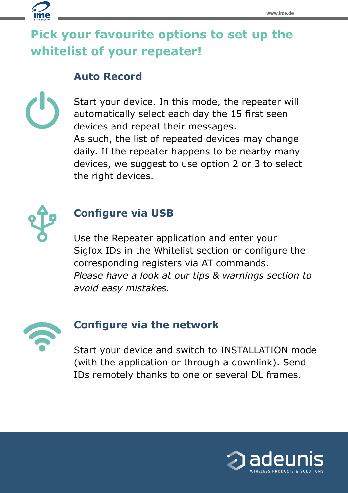# **Pick your favourite options to set up the whitelist of your repeater!**

## **Auto Record**

Start your device. In this mode, the repeater will automatically select each day the 15 first seen devices and repeat their messages. As such, the list of repeated devices may change daily. If the repeater happens to be nearby many devices, we suggest to use option 2 or 3 to select the right devices.



## **Configure via USB**

Use the Repeater application and enter your Sigfox IDs in the Whitelist section or configure the corresponding registers via AT commands. *Please have a look at our tips & warnings section to avoid easy mistakes.*



## **Configure via the network**

Start your device and switch to INSTALLATION mode (with the application or through a downlink). Send IDs remotely thanks to one or several DL frames.